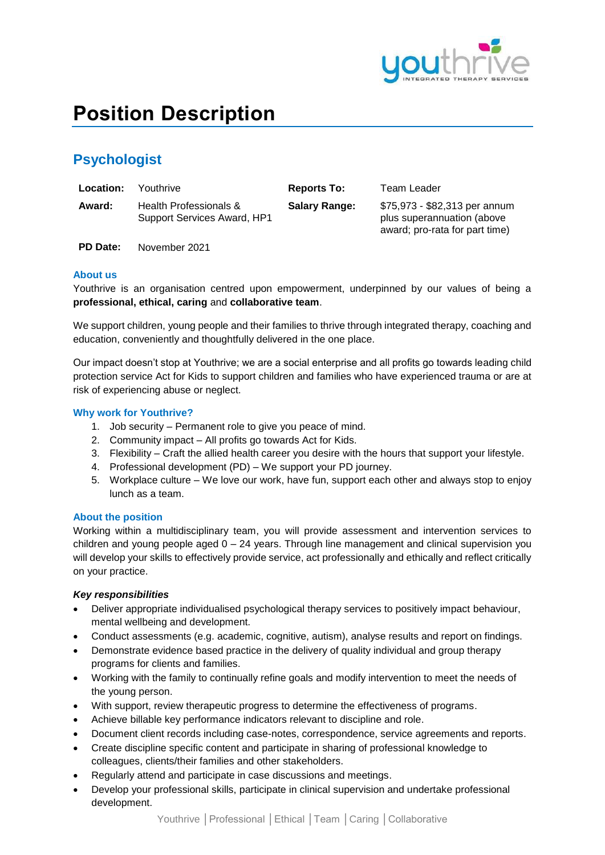

# **Position Description**

# **Psychologist**

| <b>Location:</b> | Youthrive                                             | <b>Reports To:</b>   | Team Leader                                                                                   |
|------------------|-------------------------------------------------------|----------------------|-----------------------------------------------------------------------------------------------|
| Award:           | Health Professionals &<br>Support Services Award, HP1 | <b>Salary Range:</b> | \$75,973 - \$82,313 per annum<br>plus superannuation (above<br>award; pro-rata for part time) |

**PD Date:** November 2021

### **About us**

Youthrive is an organisation centred upon empowerment, underpinned by our values of being a **professional, ethical, caring** and **collaborative team**.

We support children, young people and their families to thrive through integrated therapy, coaching and education, conveniently and thoughtfully delivered in the one place.

Our impact doesn't stop at Youthrive; we are a social enterprise and all profits go towards leading child protection service Act for Kids to support children and families who have experienced trauma or are at risk of experiencing abuse or neglect.

### **Why work for Youthrive?**

- 1. Job security Permanent role to give you peace of mind.
- 2. Community impact All profits go towards Act for Kids.
- 3. Flexibility Craft the allied health career you desire with the hours that support your lifestyle.
- 4. Professional development (PD) We support your PD journey.
- 5. Workplace culture We love our work, have fun, support each other and always stop to enjoy lunch as a team.

### **About the position**

Working within a multidisciplinary team, you will provide assessment and intervention services to children and young people aged  $0 - 24$  years. Through line management and clinical supervision you will develop your skills to effectively provide service, act professionally and ethically and reflect critically on your practice.

### *Key responsibilities*

- Deliver appropriate individualised psychological therapy services to positively impact behaviour, mental wellbeing and development.
- Conduct assessments (e.g. academic, cognitive, autism), analyse results and report on findings.
- Demonstrate evidence based practice in the delivery of quality individual and group therapy programs for clients and families.
- Working with the family to continually refine goals and modify intervention to meet the needs of the young person.
- With support, review therapeutic progress to determine the effectiveness of programs.
- Achieve billable key performance indicators relevant to discipline and role.
- Document client records including case-notes, correspondence, service agreements and reports.
- Create discipline specific content and participate in sharing of professional knowledge to colleagues, clients/their families and other stakeholders.
- Regularly attend and participate in case discussions and meetings.
- Develop your professional skills, participate in clinical supervision and undertake professional development.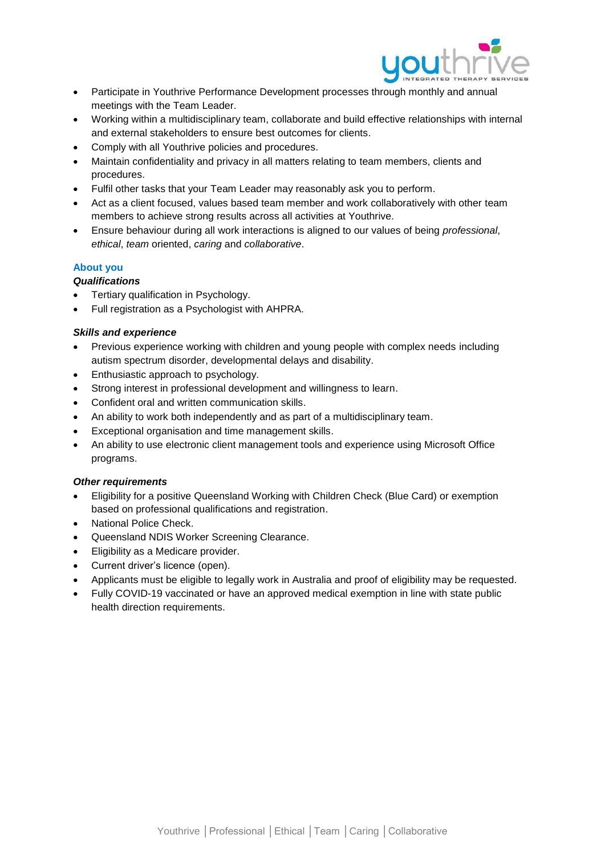

- Participate in Youthrive Performance Development processes through monthly and annual meetings with the Team Leader.
- Working within a multidisciplinary team, collaborate and build effective relationships with internal and external stakeholders to ensure best outcomes for clients.
- Comply with all Youthrive policies and procedures.
- Maintain confidentiality and privacy in all matters relating to team members, clients and procedures.
- Fulfil other tasks that your Team Leader may reasonably ask you to perform.
- Act as a client focused, values based team member and work collaboratively with other team members to achieve strong results across all activities at Youthrive.
- Ensure behaviour during all work interactions is aligned to our values of being *professional*, *ethical*, *team* oriented, *caring* and *collaborative*.

## **About you**

### *Qualifications*

- Tertiary qualification in Psychology.
- Full registration as a Psychologist with AHPRA.

### *Skills and experience*

- Previous experience working with children and young people with complex needs including autism spectrum disorder, developmental delays and disability.
- Enthusiastic approach to psychology.
- Strong interest in professional development and willingness to learn.
- Confident oral and written communication skills.
- An ability to work both independently and as part of a multidisciplinary team.
- Exceptional organisation and time management skills.
- An ability to use electronic client management tools and experience using Microsoft Office programs.

### *Other requirements*

- Eligibility for a positive Queensland Working with Children Check (Blue Card) or exemption based on professional qualifications and registration.
- National Police Check.
- Queensland NDIS Worker Screening Clearance.
- **Eligibility as a Medicare provider.**
- Current driver's licence (open).
- Applicants must be eligible to legally work in Australia and proof of eligibility may be requested.
- Fully COVID-19 vaccinated or have an approved medical exemption in line with state public health direction requirements.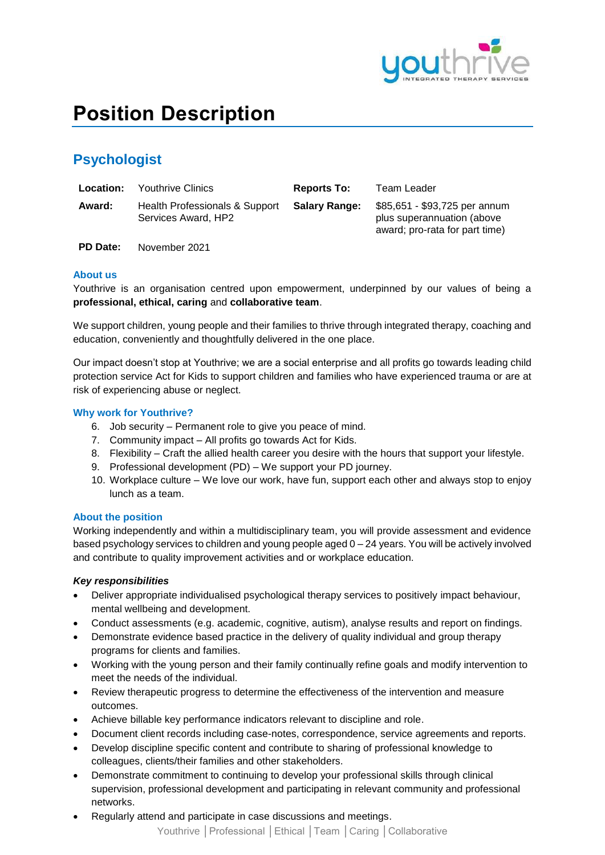

# **Position Description**

## **Psychologist**

| Location: | <b>Youthrive Clinics</b>                              | <b>Reports To:</b>   | Team Leader                                                                                   |
|-----------|-------------------------------------------------------|----------------------|-----------------------------------------------------------------------------------------------|
| Award:    | Health Professionals & Support<br>Services Award, HP2 | <b>Salary Range:</b> | \$85,651 - \$93,725 per annum<br>plus superannuation (above<br>award; pro-rata for part time) |

**PD Date:** November 2021

### **About us**

Youthrive is an organisation centred upon empowerment, underpinned by our values of being a **professional, ethical, caring** and **collaborative team**.

We support children, young people and their families to thrive through integrated therapy, coaching and education, conveniently and thoughtfully delivered in the one place.

Our impact doesn't stop at Youthrive; we are a social enterprise and all profits go towards leading child protection service Act for Kids to support children and families who have experienced trauma or are at risk of experiencing abuse or neglect.

### **Why work for Youthrive?**

- 6. Job security Permanent role to give you peace of mind.
- 7. Community impact All profits go towards Act for Kids.
- 8. Flexibility Craft the allied health career you desire with the hours that support your lifestyle.
- 9. Professional development (PD) We support your PD journey.
- 10. Workplace culture We love our work, have fun, support each other and always stop to enjoy lunch as a team.

#### **About the position**

Working independently and within a multidisciplinary team, you will provide assessment and evidence based psychology services to children and young people aged 0 – 24 years. You will be actively involved and contribute to quality improvement activities and or workplace education.

### *Key responsibilities*

- Deliver appropriate individualised psychological therapy services to positively impact behaviour, mental wellbeing and development.
- Conduct assessments (e.g. academic, cognitive, autism), analyse results and report on findings.
- Demonstrate evidence based practice in the delivery of quality individual and group therapy programs for clients and families.
- Working with the young person and their family continually refine goals and modify intervention to meet the needs of the individual.
- Review therapeutic progress to determine the effectiveness of the intervention and measure outcomes.
- Achieve billable key performance indicators relevant to discipline and role.
- Document client records including case-notes, correspondence, service agreements and reports.
- Develop discipline specific content and contribute to sharing of professional knowledge to colleagues, clients/their families and other stakeholders.
- Demonstrate commitment to continuing to develop your professional skills through clinical supervision, professional development and participating in relevant community and professional networks.
- Regularly attend and participate in case discussions and meetings.

Youthrive │Professional │Ethical │Team │Caring │Collaborative